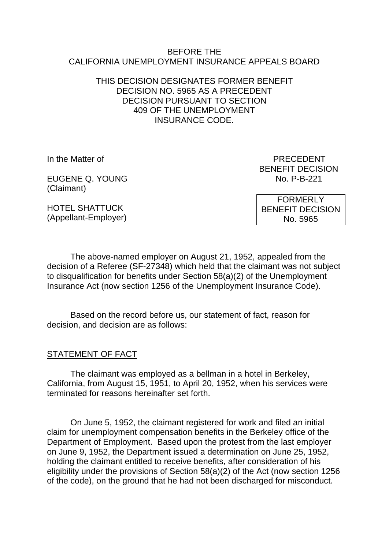#### BEFORE THE CALIFORNIA UNEMPLOYMENT INSURANCE APPEALS BOARD

#### THIS DECISION DESIGNATES FORMER BENEFIT DECISION NO. 5965 AS A PRECEDENT DECISION PURSUANT TO SECTION 409 OF THE UNEMPLOYMENT INSURANCE CODE.

EUGENE Q. YOUNG No. P-B-221 (Claimant)

In the Matter of **PRECEDENT** BENEFIT DECISION

HOTEL SHATTUCK (Appellant-Employer)

FORMERLY BENEFIT DECISION No. 5965

The above-named employer on August 21, 1952, appealed from the decision of a Referee (SF-27348) which held that the claimant was not subject to disqualification for benefits under Section 58(a)(2) of the Unemployment Insurance Act (now section 1256 of the Unemployment Insurance Code).

Based on the record before us, our statement of fact, reason for decision, and decision are as follows:

# STATEMENT OF FACT

The claimant was employed as a bellman in a hotel in Berkeley, California, from August 15, 1951, to April 20, 1952, when his services were terminated for reasons hereinafter set forth.

On June 5, 1952, the claimant registered for work and filed an initial claim for unemployment compensation benefits in the Berkeley office of the Department of Employment. Based upon the protest from the last employer on June 9, 1952, the Department issued a determination on June 25, 1952, holding the claimant entitled to receive benefits, after consideration of his eligibility under the provisions of Section 58(a)(2) of the Act (now section 1256 of the code), on the ground that he had not been discharged for misconduct.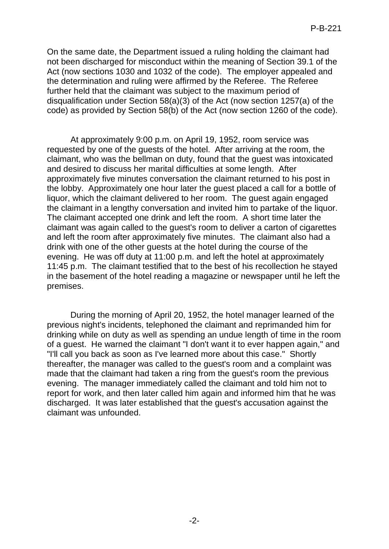On the same date, the Department issued a ruling holding the claimant had not been discharged for misconduct within the meaning of Section 39.1 of the Act (now sections 1030 and 1032 of the code). The employer appealed and the determination and ruling were affirmed by the Referee. The Referee further held that the claimant was subject to the maximum period of disqualification under Section 58(a)(3) of the Act (now section 1257(a) of the code) as provided by Section 58(b) of the Act (now section 1260 of the code).

At approximately 9:00 p.m. on April 19, 1952, room service was requested by one of the guests of the hotel. After arriving at the room, the claimant, who was the bellman on duty, found that the guest was intoxicated and desired to discuss her marital difficulties at some length. After approximately five minutes conversation the claimant returned to his post in the lobby. Approximately one hour later the guest placed a call for a bottle of liquor, which the claimant delivered to her room. The guest again engaged the claimant in a lengthy conversation and invited him to partake of the liquor. The claimant accepted one drink and left the room. A short time later the claimant was again called to the guest's room to deliver a carton of cigarettes and left the room after approximately five minutes. The claimant also had a drink with one of the other guests at the hotel during the course of the evening. He was off duty at 11:00 p.m. and left the hotel at approximately 11:45 p.m. The claimant testified that to the best of his recollection he stayed in the basement of the hotel reading a magazine or newspaper until he left the premises.

During the morning of April 20, 1952, the hotel manager learned of the previous night's incidents, telephoned the claimant and reprimanded him for drinking while on duty as well as spending an undue length of time in the room of a guest. He warned the claimant "I don't want it to ever happen again," and "I'll call you back as soon as I've learned more about this case." Shortly thereafter, the manager was called to the guest's room and a complaint was made that the claimant had taken a ring from the guest's room the previous evening. The manager immediately called the claimant and told him not to report for work, and then later called him again and informed him that he was discharged. It was later established that the guest's accusation against the claimant was unfounded.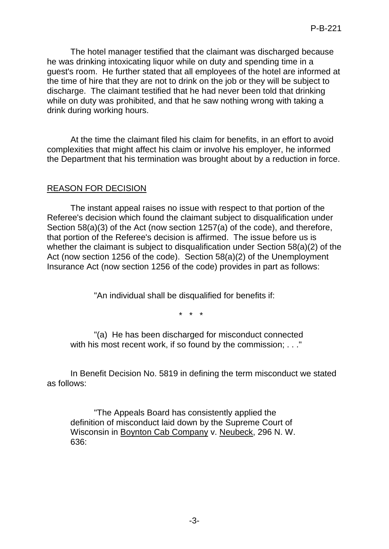The hotel manager testified that the claimant was discharged because he was drinking intoxicating liquor while on duty and spending time in a guest's room. He further stated that all employees of the hotel are informed at the time of hire that they are not to drink on the job or they will be subject to discharge. The claimant testified that he had never been told that drinking while on duty was prohibited, and that he saw nothing wrong with taking a drink during working hours.

At the time the claimant filed his claim for benefits, in an effort to avoid complexities that might affect his claim or involve his employer, he informed the Department that his termination was brought about by a reduction in force.

# REASON FOR DECISION

The instant appeal raises no issue with respect to that portion of the Referee's decision which found the claimant subject to disqualification under Section 58(a)(3) of the Act (now section 1257(a) of the code), and therefore, that portion of the Referee's decision is affirmed. The issue before us is whether the claimant is subject to disqualification under Section 58(a)(2) of the Act (now section 1256 of the code). Section 58(a)(2) of the Unemployment Insurance Act (now section 1256 of the code) provides in part as follows:

"An individual shall be disqualified for benefits if:

\* \* \*

"(a) He has been discharged for misconduct connected with his most recent work, if so found by the commission; . . ."

In Benefit Decision No. 5819 in defining the term misconduct we stated as follows:

"The Appeals Board has consistently applied the definition of misconduct laid down by the Supreme Court of Wisconsin in Boynton Cab Company v. Neubeck, 296 N. W. 636: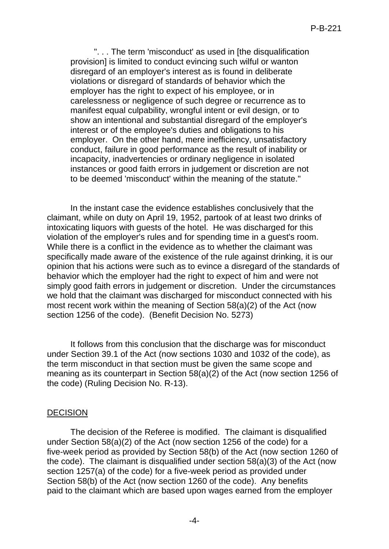". . . The term 'misconduct' as used in [the disqualification provision] is limited to conduct evincing such wilful or wanton disregard of an employer's interest as is found in deliberate violations or disregard of standards of behavior which the employer has the right to expect of his employee, or in carelessness or negligence of such degree or recurrence as to manifest equal culpability, wrongful intent or evil design, or to show an intentional and substantial disregard of the employer's interest or of the employee's duties and obligations to his employer. On the other hand, mere inefficiency, unsatisfactory conduct, failure in good performance as the result of inability or incapacity, inadvertencies or ordinary negligence in isolated instances or good faith errors in judgement or discretion are not to be deemed 'misconduct' within the meaning of the statute."

In the instant case the evidence establishes conclusively that the claimant, while on duty on April 19, 1952, partook of at least two drinks of intoxicating liquors with guests of the hotel. He was discharged for this violation of the employer's rules and for spending time in a guest's room. While there is a conflict in the evidence as to whether the claimant was specifically made aware of the existence of the rule against drinking, it is our opinion that his actions were such as to evince a disregard of the standards of behavior which the employer had the right to expect of him and were not simply good faith errors in judgement or discretion. Under the circumstances we hold that the claimant was discharged for misconduct connected with his most recent work within the meaning of Section 58(a)(2) of the Act (now section 1256 of the code). (Benefit Decision No. 5273)

It follows from this conclusion that the discharge was for misconduct under Section 39.1 of the Act (now sections 1030 and 1032 of the code), as the term misconduct in that section must be given the same scope and meaning as its counterpart in Section 58(a)(2) of the Act (now section 1256 of the code) (Ruling Decision No. R-13).

#### DECISION

The decision of the Referee is modified. The claimant is disqualified under Section 58(a)(2) of the Act (now section 1256 of the code) for a five-week period as provided by Section 58(b) of the Act (now section 1260 of the code). The claimant is disqualified under section 58(a)(3) of the Act (now section 1257(a) of the code) for a five-week period as provided under Section 58(b) of the Act (now section 1260 of the code). Any benefits paid to the claimant which are based upon wages earned from the employer